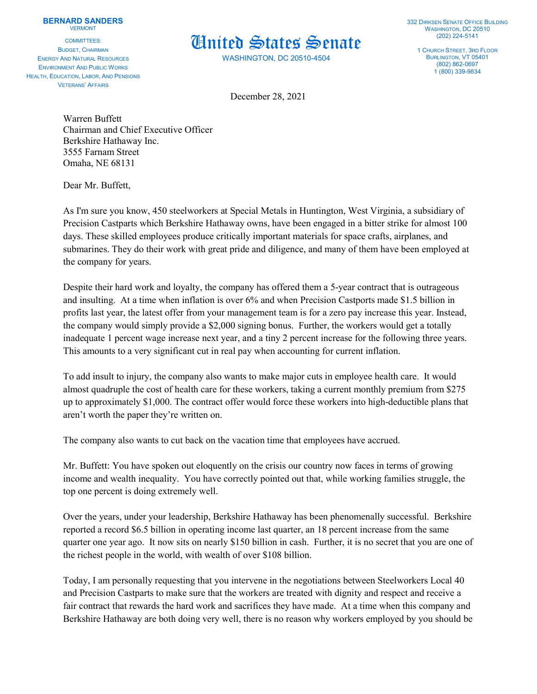## **BERNARD SANDERS VERMONT**

COMMITTEES: BUDGET, CHAIRMAN ENERGY AND NATURAL RESOURCES ENVIRONMENT AND PUBLIC WORKS HEALTH, EDUCATION, LABOR, AND PENSIONS VETERANS' AFFAIRS



WASHINGTON, DC 20510-4504

332 DIRKSEN SENATE OFFICE BUILDING WASHINGTON, DC 20510 (202) 224-5141

1 CHURCH STREET, 3RD FLOOR BURLINGTON, VT 05401 (802) 862-0697 1 (800) 339-9834

December 28, 2021

Warren Buffett Chairman and Chief Executive Officer Berkshire Hathaway Inc. 3555 Farnam Street Omaha, NE 68131

Dear Mr. Buffett,

As I'm sure you know, 450 steelworkers at Special Metals in Huntington, West Virginia, a subsidiary of Precision Castparts which Berkshire Hathaway owns, have been engaged in a bitter strike for almost 100 days. These skilled employees produce critically important materials for space crafts, airplanes, and submarines. They do their work with great pride and diligence, and many of them have been employed at the company for years.

Despite their hard work and loyalty, the company has offered them a 5-year contract that is outrageous and insulting. At a time when inflation is over 6% and when Precision Castports made \$1.5 billion in profits last year, the latest offer from your management team is for a zero pay increase this year. Instead, the company would simply provide a \$2,000 signing bonus. Further, the workers would get a totally inadequate 1 percent wage increase next year, and a tiny 2 percent increase for the following three years. This amounts to a very significant cut in real pay when accounting for current inflation.

To add insult to injury, the company also wants to make major cuts in employee health care. It would almost quadruple the cost of health care for these workers, taking a current monthly premium from \$275 up to approximately \$1,000. The contract offer would force these workers into high-deductible plans that aren't worth the paper they're written on.

The company also wants to cut back on the vacation time that employees have accrued.

Mr. Buffett: You have spoken out eloquently on the crisis our country now faces in terms of growing income and wealth inequality. You have correctly pointed out that, while working families struggle, the top one percent is doing extremely well.

Over the years, under your leadership, Berkshire Hathaway has been phenomenally successful. Berkshire reported a record \$6.5 billion in operating income last quarter, an 18 percent increase from the same quarter one year ago. It now sits on nearly \$150 billion in cash. Further, it is no secret that you are one of the richest people in the world, with wealth of over \$108 billion.

Today, I am personally requesting that you intervene in the negotiations between Steelworkers Local 40 and Precision Castparts to make sure that the workers are treated with dignity and respect and receive a fair contract that rewards the hard work and sacrifices they have made. At a time when this company and Berkshire Hathaway are both doing very well, there is no reason why workers employed by you should be